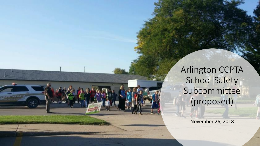Arlington CCPTA School Safety Subcommittee (proposed)

November 26, 2018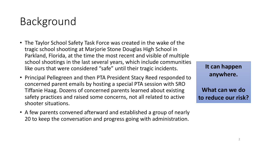## Background

- The Taylor School Safety Task Force was created in the wake of the tragic school shooting at Marjorie Stone Douglas High School in Parkland, Florida, at the time the most recent and visible of multiple school shootings in the last several years, which include communities like ours that were considered "safe" until their tragic incidents.
- Principal Pellegreen and then PTA President Stacy Reed responded to concerned parent emails by hosting a special PTA session with SRO Tiffanie Haag. Dozens of concerned parents learned about existing safety practices and raised some concerns, not all related to active shooter situations.
- A few parents convened afterward and established a group of nearly 20 to keep the conversation and progress going with administration.

| It can happen       |
|---------------------|
| anywhere.           |
|                     |
| What can we do      |
| to reduce our risk? |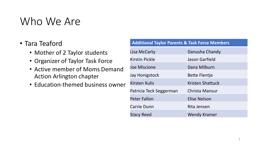### Who We Are

#### • Tara Teaford

- Mother of 2 Taylor students
- Organizer of Taylor Task Force
- Active member of Moms Demand Action Arlington chapter
- Education-themed business owner

| <b>Additional Taylor Parents &amp; Task Force Members</b> |                         |
|-----------------------------------------------------------|-------------------------|
| Lisa McCarty                                              | Danusha Chandy          |
| Kirstin Pickle                                            | Jason Garfield          |
| <b>Joe Miscione</b>                                       | Dana Milburn            |
| Jay Honigstock                                            | <b>Bette Flentje</b>    |
| <b>Kirsten Kulis</b>                                      | <b>Kristen Shattuck</b> |
| Patricia Teck Seggerman                                   | Christa Mansur          |
| <b>Peter Fallon</b>                                       | <b>Elise Nelson</b>     |
| <b>Carrie Dunn</b>                                        | Rita Jensen             |
| <b>Stacy Reed</b>                                         | Wendy Kramer            |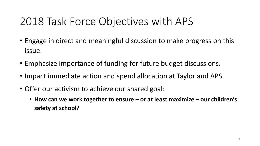## 2018 Task Force Objectives with APS

- Engage in direct and meaningful discussion to make progress on this issue.
- Emphasize importance of funding for future budget discussions.
- Impact immediate action and spend allocation at Taylor and APS.
- Offer our activism to achieve our shared goal:
	- **How can we work together to ensure – or at least maximize – our children's safety at school?**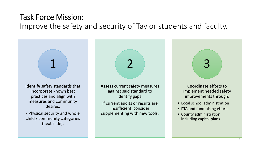#### Task Force Mission: Improve the safety and security of Taylor students and faculty.

**Identify** safety standards that incorporate known best practices and align with measures and community desires. 1 **Assess** current safety measures against said standard to identify gaps. If current audits or results are insufficient, consider 2 **Coordinate** efforts to implement needed safety improvements through: • Local school administration • PTA and fundraising efforts 3

> • County administration including capital plans

- Physical security and whole child / community categories

(next slide).

supplementing with new tools.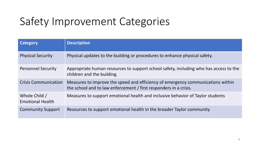## Safety Improvement Categories

| <b>Category</b>                          | <b>Description</b>                                                                                                                                   |
|------------------------------------------|------------------------------------------------------------------------------------------------------------------------------------------------------|
| <b>Physical Security</b>                 | Physical updates to the building or procedures to enhance physical safety.                                                                           |
| <b>Personnel Security</b>                | Appropriate human resources to support school safety, including who has access to the<br>children and the building.                                  |
| <b>Crisis Communication</b>              | Measures to improve the speed and efficiency of emergency communications within<br>the school and to law enforcement / first responders in a crisis. |
| Whole Child /<br><b>Emotional Health</b> | Measures to support emotional health and inclusive behavior of Taylor students                                                                       |
| <b>Community Support</b>                 | Resources to support emotional health in the broader Taylor community                                                                                |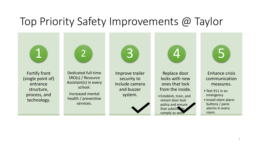## Top Priority Safety Improvements @ Taylor

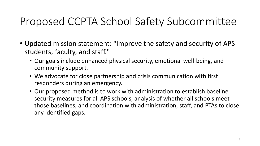## Proposed CCPTA School Safety Subcommittee

- Updated mission statement: "Improve the safety and security of APS students, faculty, and staff."
	- Our goals include enhanced physical security, emotional well-being, and community support.
	- We advocate for close partnership and crisis communication with first responders during an emergency.
	- Our proposed method is to work with administration to establish baseline security measures for all APS schools, analysis of whether all schools meet those baselines, and coordination with administration, staff, and PTAs to close any identified gaps.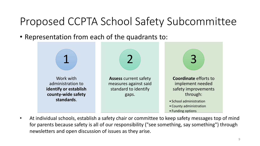## Proposed CCPTA School Safety Subcommittee

• Representation from each of the quadrants to:



• At individual schools, establish a safety chair or committee to keep safety messages top of mind for parents because safety is all of our responsibility ("see something, say something") through newsletters and open discussion of issues as they arise.